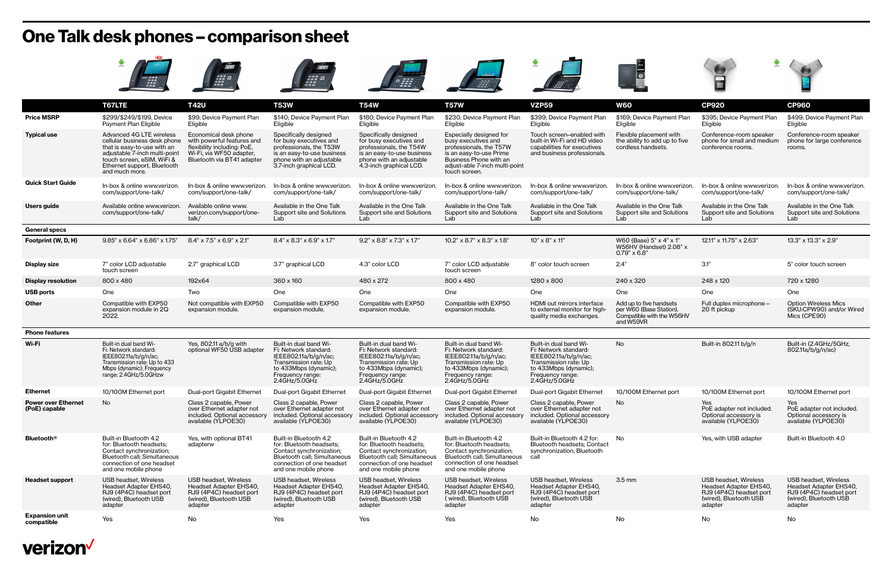## **One Talk desk phones – comparison sheet**

|                                             | *** 888<br>- 888<br>- 889                                                                                                                                                                               | aaa \$}                                                                                                                                      | --- 4                                                                                                                                                               |                                                                                                                                                                     |                                                                                                                                                                                   |                                                                                                                                                                 | <b>EXECUTE</b>                                                                               |                                                                                                                 |                                                                                                                        |
|---------------------------------------------|---------------------------------------------------------------------------------------------------------------------------------------------------------------------------------------------------------|----------------------------------------------------------------------------------------------------------------------------------------------|---------------------------------------------------------------------------------------------------------------------------------------------------------------------|---------------------------------------------------------------------------------------------------------------------------------------------------------------------|-----------------------------------------------------------------------------------------------------------------------------------------------------------------------------------|-----------------------------------------------------------------------------------------------------------------------------------------------------------------|----------------------------------------------------------------------------------------------|-----------------------------------------------------------------------------------------------------------------|------------------------------------------------------------------------------------------------------------------------|
|                                             | T67LTE                                                                                                                                                                                                  | <b>T42U</b>                                                                                                                                  | <b>T53W</b>                                                                                                                                                         | <b>T54W</b>                                                                                                                                                         | <b>T57W</b>                                                                                                                                                                       | <b>VZP59</b>                                                                                                                                                    | <b>W60</b>                                                                                   | <b>CP920</b>                                                                                                    | <b>CP960</b>                                                                                                           |
| <b>Price MSRP</b>                           | \$299/\$249/\$199, Device<br>Payment Plan Eligible                                                                                                                                                      | \$99; Device Payment Plan<br>Eligible                                                                                                        | \$140; Device Payment Plan<br>Eligible                                                                                                                              | \$180; Device Payment Plan<br>Eligible                                                                                                                              | \$230; Device Payment Plan<br>Eligible                                                                                                                                            | \$399; Device Payment Plan<br>Eligible                                                                                                                          | \$169; Device Payment Plan<br>Eligible                                                       | \$395; Device Payment Plan<br>Eligible                                                                          | \$499; Device Payment Plan<br>Eligible                                                                                 |
| <b>Typical use</b>                          | Advanced 4G LTE wireless<br>cellular business desk phone<br>that is easy-to-use with an<br>adjustable 7-inch multi-point<br>touch screen, eSIM, WiFi &<br>Ethernet support, Bluetooth<br>and much more. | Economical desk phone<br>with powerful features and<br>flexibility including: PoE,<br>Wi-Fi, via WF50 adapter,<br>Bluetooth via BT41 adapter | Specifically designed<br>for busy executives and<br>professionals, the T53W<br>is an easy-to-use business<br>phone with an adjustable<br>3.7-inch graphical LCD.    | Specifically designed<br>for busy executives and<br>professionals, the T54W<br>is an easy-to-use business<br>phone with an adjustable<br>4.3-inch graphical LCD.    | Especially designed for<br>busy executives and<br>professionals, the T57W<br>is an easy-to-use Prime<br>Business Phone with an<br>adjust-able 7-inch multi-point<br>touch screen. | Touch screen-enabled with<br>built-in Wi-Fi and HD video<br>capabilities for executives<br>and business professionals.                                          | Flexible placement with<br>the ability to add up to five<br>cordless handsets.               | Conference-room speaker<br>phone for small and medium<br>conference rooms.                                      | Conference-room speaker<br>phone for large conference<br>rooms.                                                        |
| <b>Quick Start Guide</b>                    | In-box & online www.verizon.<br>com/support/one-talk/                                                                                                                                                   | In-box & online www.verizon.<br>com/support/one-talk/                                                                                        | In-box & online www.verizon.<br>com/support/one-talk/                                                                                                               | In-box & online www.verizon.<br>com/support/one-talk/                                                                                                               | In-box & online www.verizon.<br>com/support/one-talk/                                                                                                                             | In-box & online www.verizon.<br>com/support/one-talk/                                                                                                           | In-box & online www.verizon.<br>com/support/one-talk/                                        | In-box & online www.verizon.<br>com/support/one-talk/                                                           | In-box & online www.verizon.<br>com/support/one-talk/                                                                  |
| Users guide                                 | Available online www.verizon.<br>com/support/one-talk/                                                                                                                                                  | Available online www.<br>verizon.com/support/one-<br>talk/                                                                                   | Available in the One Talk<br>Support site and Solutions<br>Lab                                                                                                      | Available in the One Talk<br>Support site and Solutions<br>Lab                                                                                                      | Available in the One Talk<br>Support site and Solutions<br>Lab                                                                                                                    | Available in the One Talk<br>Support site and Solutions<br>Lab                                                                                                  | Available in the One Talk<br>Support site and Solutions<br>Lab                               | Available in the One Talk<br>Support site and Solutions<br>Lab                                                  | Available in the One Talk<br>Support site and Solutions<br>Lab                                                         |
| <b>General specs</b>                        |                                                                                                                                                                                                         |                                                                                                                                              |                                                                                                                                                                     |                                                                                                                                                                     |                                                                                                                                                                                   |                                                                                                                                                                 |                                                                                              |                                                                                                                 |                                                                                                                        |
| Footprint (W, D, H)                         | 9.85" x 6.64" x 6.86" x 1.75"                                                                                                                                                                           | $8.4" \times 7.5" \times 6.9" \times 2.1"$                                                                                                   | 8.4" x 8.3" x 6.9" x 1.7"                                                                                                                                           | $9.2$ " x 8.8" x 7.3" x 1.7"                                                                                                                                        | $10.2$ " x 8.7" x 8.3" x 1.8"                                                                                                                                                     | 10" x 8" x 11"                                                                                                                                                  | W60 (Base) 5" x 4" x 1"<br>W56HV (Handset) 2.08" x<br>$0.79" \times 6.8"$                    | 12.11" x 11.75" x 2.63"                                                                                         | 13.3" x 13.3" x 2.9"                                                                                                   |
| <b>Display size</b>                         | 7" color LCD adjustable<br>touch screen                                                                                                                                                                 | 2.7" graphical LCD                                                                                                                           | 3.7" graphical LCD                                                                                                                                                  | 4.3" color LCD                                                                                                                                                      | 7" color LCD adjustable<br>touch screen                                                                                                                                           | 8" color touch screen                                                                                                                                           | 2.4"                                                                                         | 3.1"                                                                                                            | 5" color touch screen                                                                                                  |
| <b>Display resolution</b>                   | 800 x 480                                                                                                                                                                                               | 192x64                                                                                                                                       | 360 x 160                                                                                                                                                           | 480 x 272                                                                                                                                                           | 800 x 480                                                                                                                                                                         | 1280 x 800                                                                                                                                                      | 240 x 320                                                                                    | 248 x 120                                                                                                       | 720 x 1280                                                                                                             |
| <b>USB ports</b>                            | One                                                                                                                                                                                                     | Two                                                                                                                                          | One                                                                                                                                                                 | One                                                                                                                                                                 | One                                                                                                                                                                               | One                                                                                                                                                             | One                                                                                          | One                                                                                                             | One                                                                                                                    |
| <b>Other</b>                                | Compatible with EXP50<br>expansion module in 2Q<br>2022.                                                                                                                                                | Not compatible with EXP50<br>expansion module.                                                                                               | Compatible with EXP50<br>expansion module.                                                                                                                          | Compatible with EXP50<br>expansion module.                                                                                                                          | Compatible with EXP50<br>expansion module.                                                                                                                                        | HDMI out mirrors interface<br>to external monitor for high-<br>quality media exchanges.                                                                         | Add up to five handsets<br>per W60 (Base Station).<br>Compatible with the W56HV<br>and W59VR | Full duplex microphone -<br>20 ft pickup                                                                        | <b>Option Wireless Mics</b><br>(SKU:CPW90) and/or Wired<br>Mics (CPE90)                                                |
| <b>Phone features</b>                       |                                                                                                                                                                                                         |                                                                                                                                              |                                                                                                                                                                     |                                                                                                                                                                     |                                                                                                                                                                                   |                                                                                                                                                                 |                                                                                              |                                                                                                                 |                                                                                                                        |
| Wi-Fi                                       | Built-in dual band Wi-<br>Fi: Network standard:<br>IEEE802.11a/b/g/n/ac;<br>Transmission rate: Up to 433<br>Mbps (dynamic); Frequency<br>range: 2.4GHz/5.0GHzw                                          | Yes, 802.11 a/b/g with<br>optional WF50 USB adapter                                                                                          | Built-in dual band Wi-<br>Fi: Network standard:<br>IEEE802.11a/b/g/n/ac;<br>Transmission rate: Up<br>to 433Mbps (dynamic);<br>Frequency range:<br>2.4GHz/5.0GHz     | Built-in dual band Wi-<br>Fi: Network standard:<br>IEEE802.11a/b/g/n/ac;<br>Transmission rate: Up<br>to 433Mbps (dynamic);<br>Frequency range:<br>2.4GHz/5.0GHz     | Built-in dual band Wi-<br>Fi: Network standard:<br>IEEE802.11a/b/g/n/ac;<br>Transmission rate: Up<br>to 433Mbps (dynamic);<br>Frequency range:<br>2.4GHz/5.0GHz                   | Built-in dual band Wi-<br>Fi: Network standard:<br>IEEE802.11a/b/g/n/ac;<br>Transmission rate: Up<br>to 433Mbps (dynamic);<br>Frequency range:<br>2.4GHz/5.0GHz | No                                                                                           | Built-in 802.11 b/g/n                                                                                           | Built-in (2.4GHz/5GHz,<br>802.11a/b/g/n/ac)                                                                            |
| <b>Ethernet</b>                             | 10/100M Ethernet port                                                                                                                                                                                   | Dual-port Gigabit Ethernet                                                                                                                   | Dual-port Gigabit Ethernet                                                                                                                                          | Dual-port Gigabit Ethernet                                                                                                                                          | Dual-port Gigabit Ethernet                                                                                                                                                        | Dual-port Gigabit Ethernet                                                                                                                                      | 10/100M Ethernet port                                                                        | 10/100M Ethernet port                                                                                           | 10/100M Ethernet port                                                                                                  |
| <b>Power over Ethernet</b><br>(PoE) capable | No                                                                                                                                                                                                      | Class 2 capable, Power<br>over Ethernet adapter not<br>included. Optional accessory<br>available (YLPOE30)                                   | Class 2 capable, Power<br>over Ethernet adapter not<br>included. Optional accessory<br>available (YLPOE30)                                                          | Class 2 capable, Power<br>over Ethernet adapter not<br>included. Optional accessory<br>available (YLPOE30)                                                          | Class 2 capable, Power<br>over Ethernet adapter not<br>included. Optional accessory<br>available (YLPOE30)                                                                        | Class 2 capable, Power<br>over Ethernet adapter not<br>included. Optional accessory<br>available (YLPOE30)                                                      | No                                                                                           | Yes<br>PoE adapter not included.<br>Optional accessory is<br>available (YLPOE30)                                | Yes<br>PoE adapter not included.<br>Optional accessory is<br>available (YLPOE30)                                       |
| <b>Bluetooth®</b>                           | Built-in Bluetooth 4.2<br>for: Bluetooth headsets;<br>Contact synchronization;<br>Bluetooth call, Simultaneous<br>connection of one headset<br>and one mobile phone                                     | Yes, with optional BT41<br>adapterw                                                                                                          | Built-in Bluetooth 4.2<br>for: Bluetooth headsets;<br>Contact synchronization;<br>Bluetooth call; Simultaneous<br>connection of one headset<br>and one mobile phone | Built-in Bluetooth 4.2<br>for: Bluetooth headsets;<br>Contact synchronization;<br>Bluetooth call; Simultaneous<br>connection of one headset<br>and one mobile phone | Built-in Bluetooth 4.2<br>for: Bluetooth headsets;<br>Contact synchronization;<br><b>Bluetooth call</b> ; Simultaneous<br>connection of one headset<br>and one mobile phone       | Built-in Bluetooth 4.2 for:<br><b>Bluetooth headsets: Contact</b><br>synchronization; Bluetooth<br>call                                                         | No                                                                                           | Yes, with USB adapter                                                                                           | Built-in Bluetooth 4.0                                                                                                 |
| <b>Headset support</b>                      | USB headset, Wireless<br>Headset Adapter EHS40,<br>RJ9 (4P4C) headset port<br>(wired), Bluetooth USB<br>adapter                                                                                         | USB headset, Wireless<br>Headset Adapter EHS40,<br>RJ9 (4P4C) headset port<br>(wired), Bluetooth USB<br>adapter                              | USB headset, Wireless<br>Headset Adapter EHS40,<br>RJ9 (4P4C) headset port<br>(wired), Bluetooth USB<br>adapter                                                     | USB headset, Wireless<br>Headset Adapter EHS40,<br>RJ9 (4P4C) headset port<br>(wired), Bluetooth USB<br>adapter                                                     | USB headset, Wireless<br>Headset Adapter EHS40,<br>RJ9 (4P4C) headset port<br>(wired), Bluetooth USB<br>adapter                                                                   | USB headset, Wireless<br>Headset Adapter EHS40,<br>RJ9 (4P4C) headset port<br>(wired), Bluetooth USB<br>adapter                                                 | $3.5 \text{ mm}$                                                                             | USB headset, Wireless<br>Headset Adapter EHS40,<br>RJ9 (4P4C) headset port<br>(wired), Bluetooth USB<br>adapter | <b>USB headset, Wireless</b><br>Headset Adapter EHS40,<br>RJ9 (4P4C) headset port<br>(wired), Bluetooth USB<br>adapter |
| <b>Expansion unit</b><br>compatible         | Yes                                                                                                                                                                                                     | No                                                                                                                                           | Yes                                                                                                                                                                 | Yes                                                                                                                                                                 | Yes                                                                                                                                                                               | No                                                                                                                                                              | No                                                                                           | No                                                                                                              | No                                                                                                                     |